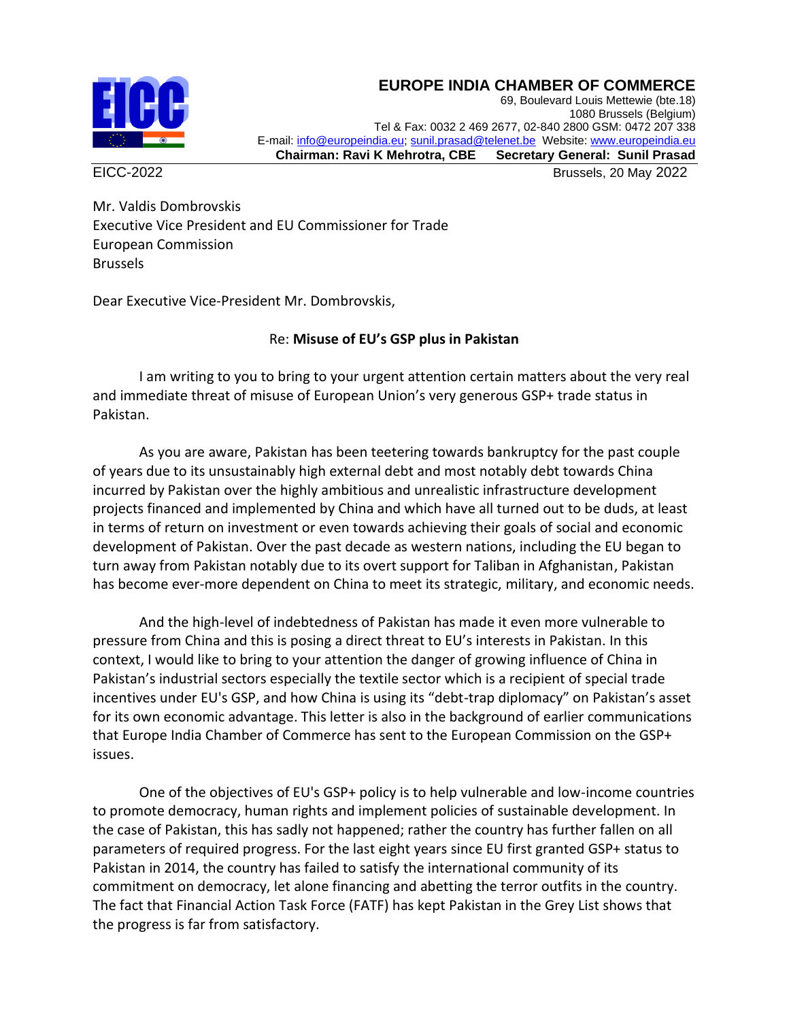## **EUROPE INDIA CHAMBER OF COMMERCE**



69, Boulevard Louis Mettewie (bte.18) 1080 Brussels (Belgium) Tel & Fax: 0032 2 469 2677, 02-840 2800 GSM: 0472 207 338 E-mail[: info@europeindia.eu;](mailto:info@europeindia.eu) [sunil.prasad@telenet.be](mailto:sunil.prasad@telenet.be) Website[: www.europeindia.eu](http://www.europeindia.eu/)  **Chairman: Ravi K Mehrotra, CBE Secretary General: Sunil Prasad**

EICC-2022 Brussels, 20 May 2022

Mr. Valdis Dombrovskis Executive Vice President and EU Commissioner for Trade European Commission Brussels

Dear Executive Vice-President Mr. Dombrovskis,

## Re: **Misuse of EU's GSP plus in Pakistan**

I am writing to you to bring to your urgent attention certain matters about the very real and immediate threat of misuse of European Union's very generous GSP+ trade status in Pakistan.

As you are aware, Pakistan has been teetering towards bankruptcy for the past couple of years due to its unsustainably high external debt and most notably debt towards China incurred by Pakistan over the highly ambitious and unrealistic infrastructure development projects financed and implemented by China and which have all turned out to be duds, at least in terms of return on investment or even towards achieving their goals of social and economic development of Pakistan. Over the past decade as western nations, including the EU began to turn away from Pakistan notably due to its overt support for Taliban in Afghanistan, Pakistan has become ever-more dependent on China to meet its strategic, military, and economic needs.

And the high-level of indebtedness of Pakistan has made it even more vulnerable to pressure from China and this is posing a direct threat to EU's interests in Pakistan. In this context, I would like to bring to your attention the danger of growing influence of China in Pakistan's industrial sectors especially the textile sector which is a recipient of special trade incentives under EU's GSP, and how China is using its "debt-trap diplomacy" on Pakistan's asset for its own economic advantage. This letter is also in the background of earlier communications that Europe India Chamber of Commerce has sent to the European Commission on the GSP+ issues.

One of the objectives of EU's GSP+ policy is to help vulnerable and low-income countries to promote democracy, human rights and implement policies of sustainable development. In the case of Pakistan, this has sadly not happened; rather the country has further fallen on all parameters of required progress. For the last eight years since EU first granted GSP+ status to Pakistan in 2014, the country has failed to satisfy the international community of its commitment on democracy, let alone financing and abetting the terror outfits in the country. The fact that Financial Action Task Force (FATF) has kept Pakistan in the Grey List shows that the progress is far from satisfactory.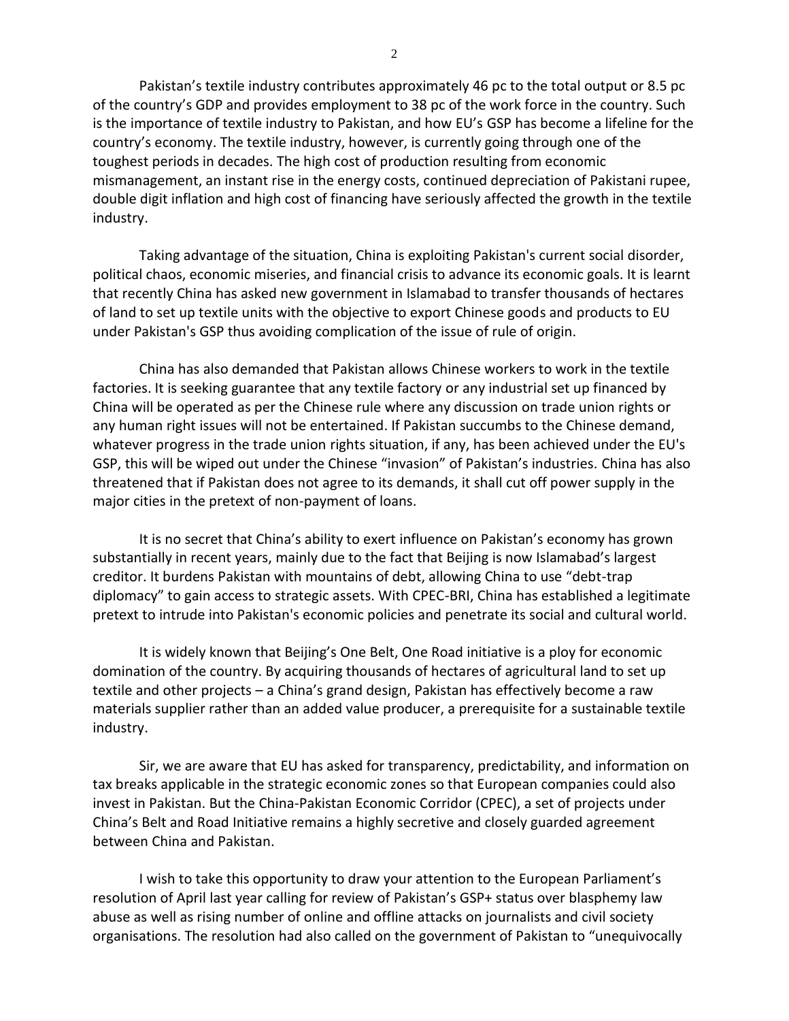Pakistan's textile industry contributes approximately 46 pc to the total output or 8.5 pc of the country's GDP and provides employment to 38 pc of the work force in the country. Such is the importance of textile industry to Pakistan, and how EU's GSP has become a lifeline for the country's economy. The textile industry, however, is currently going through one of the toughest periods in decades. The high cost of production resulting from economic mismanagement, an instant rise in the energy costs, continued depreciation of Pakistani rupee, double digit inflation and high cost of financing have seriously affected the growth in the textile industry.

Taking advantage of the situation, China is exploiting Pakistan's current social disorder, political chaos, economic miseries, and financial crisis to advance its economic goals. It is learnt that recently China has asked new government in Islamabad to transfer thousands of hectares of land to set up textile units with the objective to export Chinese goods and products to EU under Pakistan's GSP thus avoiding complication of the issue of rule of origin.

China has also demanded that Pakistan allows Chinese workers to work in the textile factories. It is seeking guarantee that any textile factory or any industrial set up financed by China will be operated as per the Chinese rule where any discussion on trade union rights or any human right issues will not be entertained. If Pakistan succumbs to the Chinese demand, whatever progress in the trade union rights situation, if any, has been achieved under the EU's GSP, this will be wiped out under the Chinese "invasion" of Pakistan's industries. China has also threatened that if Pakistan does not agree to its demands, it shall cut off power supply in the major cities in the pretext of non-payment of loans.

It is no secret that China's ability to exert influence on Pakistan's economy has grown substantially in recent years, mainly due to the fact that Beijing is now Islamabad's largest creditor. It burdens Pakistan with mountains of debt, allowing China to use "debt-trap diplomacy" to gain access to strategic assets. With CPEC-BRI, China has established a legitimate pretext to intrude into Pakistan's economic policies and penetrate its social and cultural world.

It is widely known that Beijing's One Belt, One Road initiative is a ploy for economic domination of the country. By acquiring thousands of hectares of agricultural land to set up textile and other projects – a China's grand design, Pakistan has effectively become a raw materials supplier rather than an added value producer, a prerequisite for a sustainable textile industry.

Sir, we are aware that EU has asked for transparency, predictability, and information on tax breaks applicable in the strategic economic zones so that European companies could also invest in Pakistan. But the China-Pakistan Economic Corridor (CPEC), a set of projects under China's Belt and Road Initiative remains a highly secretive and closely guarded agreement between China and Pakistan.

I wish to take this opportunity to draw your attention to the European Parliament's resolution of April last year calling for review of Pakistan's GSP+ status over blasphemy law abuse as well as rising number of online and offline attacks on journalists and civil society organisations. The resolution had also called on the government of Pakistan to "unequivocally